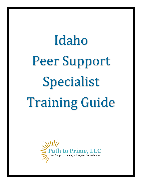# Idaho Peer Support Specialist Training Guide

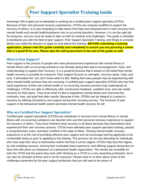# **Peer Support Specialist Training Guide**

Greetings! We're glad you're interested in working as a certified peer support specialist (CPSS). Because of their own personal recovery experiences, CPSSs are uniquely qualified to support the recovery of others. It is very rewarding to help others find hope and empowerment in their recovery from mental health and mental health/substance use co-occurring disorders. However, it is not the right job for everyone, and you must be ready to take on both its rewards and challenges. This guide is intended to familiarize you with the field of peer support, Peer Support Specialist Training, and things to consider before you make the decision to apply for and attend the training. *BEFORE submitting a training application, please read this guide carefully and completely to ensure you are pursuing a career that is a good fit for you. Please take the self-assessment at the end of the guide as well.*

#### **What is Peer Support?**

Peer support is the process of people who have personal lived experience with mental illness or mental illness with co-occurring substance use disorder giving their peers encouragement, hope, and understanding to support their recovery. It is a powerful process that is based on the belief that mental health recovery is possible for everyone. Peer support focuses on strengths, recovery goals, hope, and trust. It eliminates the "you don't know what it's like" feeling that many people may be experiencing with other mental health services they are receiving. A certified peer support specialist (CPSS) who has firsthand experience of their own mental health or co-occurring recovery process truly understands its challenges. CPSSs are able to effectively offer constructive feedback, establish trust, and role model recovery for their peers. They know what it's like to experience mental illness and overcome the confusion, loss, and grief that often results. Because of this, CPSSs can be integral to a person's recovery by offering consistency and support during their recovery journey. The inclusion of peer support in the behavioral health system promotes mental health recovery for all!

#### **Who are Certified Peer Support Specialists?**

Certified peer support specialists (CPSSs) are individuals in recovery from mental illness or mental illness with co-occurring substance use disorder who use their personal recovery experience to support the recovery of others. They know firsthand what recovery is all about because they themselves have experienced their own recovery process. CPSSs have attended peer support specialist training, passed a comprehension exam, and been certified in the state of Idaho. Sharing mental health recovery experience is at the root of providing effective peer support and we encourage training applicants to be comfortable doing so prior to applying to the training. This process can be very liberating for individuals who have kept their story to themselves and/or feel that it carries stigma. CPSSs help *bust* this stigma by role modeling recovery, sharing their invaluable lived experience, and offering support during face-toface time with peers as employees of a behavioral health organization. The results are incredible for both the CPSS and the peers they work with! Working as a CPSS is a very rewarding profession, but it can also be stressful at times and is not for everyone. Please read on to learn about some of the challenges presented by the peer support profession that you will want to be aware of.

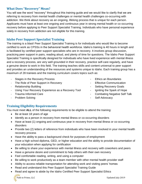#### **What Does "Recovery" Mean?**

You will see the word "recovery" throughout this training guide and we would like to clarify that we are referring to recovery from mental health challenges or mental health challenges co-occurring with addiction. We think about recovery as an ongoing, lifelong process that is unique for each person. Applicants must have at least one ongoing and continuous year in strong mental health or co-occurring recovery before applying to Peer Support Specialist Training. Individuals who have personal experience solely in recovery from addiction are not eligible for this training.

#### **Idaho Peer Support Specialist Training**

The training is a blast! Peer Support Specialist Training is for individuals who would like to become certified to work as CPSSs in the behavioral health workforce. Idaho's training is 40 hours in length and is facilitated by certified peer support specialists who are in recovery. It involves group discussion, practicing peer support in pairs, reading aloud, and plenty of time for questions. The Idaho Peer Support Specialist Training is specifically designed for individuals who have lived experience with mental illness and a recovery process, are very well grounded in their recovery, practice self-care regularly, and have a genuine desire to work in this field. The training teaches skills and content universal to peer support and provides an understanding of the resources and systems unique to Idaho. Each training group has a maximum of 28 trainees and the training curriculum covers topics such as:

- Stages in the Recovery Process **Accord 20 Finance 20 Finance 20 Finance 20 Finance 20 Finance 20 Finance 20 Finance 20 Finance 20 Finance 20 Finance 20 Finance 20 Finance 20 Finance 20 Finance 20 Finance 20 Finance 20 Fina**
- The Role of Peer Support in Recovery **Fig. 2018** Effective Communication
- 
- Using Your Recovery Experience as a Recovery Tool Igniting the Spark of Hope
- 
- Problem Solving  **Self-Advocacy**
- 
- 
- Relationship Building  **Setting Recovery Goals** 
	-
- Trauma Informed Care  $\sim$  Combating Negative Self Talk
	-

#### **Training Eligibility Requirements**

You must meet **ALL** of the following requirements to be eligible to attend the training:

- Be at least 18 years of age
- Identify as a person in recovery from mental illness or co-occurring disorders
- Have at least (1) ongoing and continuous year in recovery from mental illness or co-occurring disorders
- Provide two (2) letters of reference from individuals who have been involved in your mental health recovery process
- Have the ability to pass a background check for purposes of employment
- Have a high school diploma, GED, or higher education and the ability to provide documentation of your education when applying for certification
- Be willing to share your experience with mental illness and recovery with coworkers and peers
- Have a genuine desire and commitment to help others with their own recovery
- Feel comfortable reading, writing, and using a computer
- Be willing to work productively as a team member with other mental health provider staff
- Ability to access reliable transportation for attending work and visiting peers' homes
- Read and understand this Peer Support Specialist Training Guide
- Read and agree to abide by the Idaho Certified Peer Support Specialist Ethics *<u><i><u>Alities</u>*</u>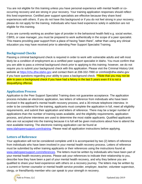You are not eligible for this training unless you have personal experience with mental health or cooccurring recovery and are strong in your recovery. Your training application responses should reflect this lived experience. Certified peer support specialists are effective because they share lived experiences with others. If you do not have this background or if you do not feel strong in your recovery, please do not apply for the training. Individuals who have lived experience solely in addiction are not eligible for this training.

If you are currently working as another type of provider in the behavioral health field e.g. social worker, CBRS, or case manager, you must be prepared to work authentically in the scope of a peer specialist. This means providing peer support from a place of having "been there", rather than using any clinical education you may have received prior to attending Peer Support Specialist Training.

#### **Background Checks**

Passing a criminal background check is required in order to work with vulnerable adults and will most likely be a condition of employment as a certified peer support specialist in Idaho. You must confirm that you are able to pass a criminal background check prior to applying to this training; however, we do not require you to submit your background check with this application. Please visit the Criminal History Unit website at [https://chu.dhw.idaho.gov](https://chu.dhw.idaho.gov/) and contact them at 208-332-7990 or crimhist@dhw.idaho.gov if you have questions regarding your ability to pass a background check. \*\*Note that you may not be able to pass a background check if you have had a felony in the last 5 years even if it is not a disqualifying offense.

#### **Application Process**

Application to the Peer Support Specialist Training does not guarantee acceptance. The application process includes an electronic application, two letters of reference from individuals who have been involved in the applicant's mental health recovery process, and a 30-minute telephone interview. In order to be considered for the training, applicants must complete the application in full, meet all eligibility requirements, and submit their application and letters of reference. There may be a larger number of applications than the number of training seats available, and the eligibility requirements, application process, and phone interviews are used to determine the most viable applicants. Qualified applicants who are not accepted into the training because it is full will be given instructions about how to attend the next available training. The electronic training application can be found at [www.idahopeersupport.com/training.](http://www.idahopeersupport.com/training) Please read all application instructions before applying.

#### **Letters of Reference**

Your application will not be considered complete until it is accompanied by two (2) letters of reference from individuals who have been involved in your mental health recovery process. Letters of reference must be submitted by either training applicants or their references using the instructions found at [www.idahopeersupport.com/references.](http://www.idahopeersupport.com/references) The letters must be written by individuals who have been part of your mental health recovery process. Please ask your references to indicate their relationship to you, describe how they have been a part of your mental health recovery, and why they believe you are qualified to share your lived experience with others on a recovery journey. The letters may be written by a current or former counselor or mental health service provider, employer, teacher, volunteer supervisor, clergy, or friend/family member who can speak to your strength in recovery.

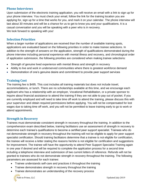#### **Phone Interviews**

Upon submission of the electronic training application, you will receive an email with a link to sign up for your phone interview. You must check your email, follow the link for the training location you are applying for, sign up for a time that works for you, and mark it on your calendar. The phone interview will last about 30 minutes and will be a chance for us to get to know you and your qualifications. It is a casual conversation and you will be speaking with a peer who is in recovery. We look forward to speaking with you!

#### **Selection Priorities**

When a larger number of applications are received than the number of available training spots, applications are evaluated based on the following priorities in order to make trainee selections. In addition to the strength of answers on the application, strength of qualifications demonstrated during the phone interview including personal experience with mental illness and recovery, and chronological order of application submission, the following priorities are considered when making trainee selections:

- Strength of genuine lived experience with mental illness and strength in recovery
- Ability to live and work in underserved communities where there is greatest workforce demand
- Demonstration of one's genuine desire and commitment to provide peer support services

#### **Training Cost**

The training fee is \$495. This cost includes all training materials but does not include travel, accommodations, or lunch. There are no scholarships available at this time, and we encourage each applicant who has a relationship with an employer, Vocational Rehabilitation, or a private sponsor to inquire about financial assistance to attend the training if they are not able to pay out of pocket. If you are currently employed and will need to take time off work to attend the training, please discuss this with your supervisor and obtain required permissions before applying. You will not be compensated for lost wages due to taking time off work, and you will not be permitted to leave training early to go to work or attend appointments.

#### **Strength in Recovery**

Trainees must demonstrate consistent strength in recovery throughout the training. In addition to the comprehension exam described below, training facilitators use an assessment of strength in recovery to determine each trainee's qualifications to become a certified peer support specialist. Trainees who do not demonstrate strength in recovery throughout the training will not be eligible to apply for peer support specialist certification. Should training facilitators determine that a trainee is not eligible for certification, the trainee will receive a letter stating the reasons he/she is not eligible for certification and suggestions for improvement. The trainee will have the opportunity to attend Peer Support Specialist Training again in one year if desired and will be required to complete the application process for a second time including a telephone interview and submission of two current letters of reference. Refunds will not be granted to trainees who do not demonstrate strength in recovery throughout the training. The following parameters are assessed for each trainee:

- Trainee understands self-care and practices it throughout the training
- Trainee demonstrates strength in recovery throughout the training
- Trainee demonstrates an understanding of the recovery process

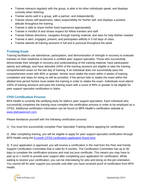- Trainee interacts regularly with the group, is able to let other individuals speak, and displays curiosity when listening
- Trainee works well in a group, with a partner, and independently
- Trainee shows self-awareness, takes responsibility for his/her self, and displays a positive attitude throughout the training
- Trainee is able to share his/her lived experience appropriately
- Trainee is mindful of and shows respect for fellow trainees and staff
- Trainee follows directions, navigates through training material, and asks for help if/when needed
- Trainee is alert, engaged, present, and participates willfully in 5 full days of class
- Trainee attends all training sessions in full and is punctual throughout the week

#### **Training Exam**

Training facilitators use attendance, participation, and demonstration of strength in recovery to evaluate trainees on their readiness to become a certified peer support specialist. Those who successfully demonstrate their strength in recovery and understanding of the training material, have participated openly and willingly, and have attended 100% of the training sessions are eligible to take the training comprehension exam on the last day of training. If an individual does not successfully pass the comprehension exam with 80% or greater, he/she must retake the exam within 4 weeks of training completion and steps for doing so will be provided. If the person fails to retake the exam within the allotted time period he/she must retake the training in order to retake the exam. Individuals must attend 100% of training sessions and pass the training exam with a score of 80% or greater to be eligible for peer support specialist certification in Idaho.

#### **CPSS Certification Process**

BPA Health is currently the certifying body for Idaho's peer support specialists. Each individual who successfully completes the training must complete the certification process in order to be employed as a CPSS. Additional certification information can be found on BPA Health's certification website at [www.idahopeercert.com.](http://www.idahopeercert.com/)

Please familiarize yourself with the following certification process:

1) You must first successfully complete Peer Specialist Training before applying for certification.

2) After completing training, you will be eligible to apply for peer support specialist certification through BPA Health using the [6-month CPSS certification application found here.](https://www.bpahealth.com/peer-family-support-certification-application/)

3) If your application is approved, you will receive a certification in the mail from the Peer and Family Support Certification Committee that is valid for 6 months. The Certification Committee has up to 30 days to complete the certification process and mail out your certificate. This means you may have to wait up to 1 month to provide peer support after completing your application for certification. While waiting to receive your certification, you can be interviewing for jobs and doing on-the-job orientation. You cannot bill for peer support you provide until after you have received proof of certification from BPA Health.

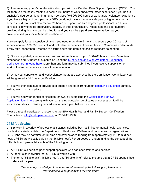4) After receiving your 6-month certification, you will be a Certified Peer Support Specialist (CPSS). You will then use the next 6 months to accrue 100 hours of work and/or volunteer experience if you hold a bachelor's degree or higher in a human services field OR 200 hours of work and/or volunteer experience if you have a high school diploma or GED but do not have a bachelor's degree or higher in a human services field. You must also receive 20 hours of supervision by a degreed professional in a human services field who holds supervisory capacity at their organization. Please note the peer support provided during this time can be billed for and **you can be a paid employee** as long as you have received your initial 6-month certification.

You can apply for an extension of time if you need more than 6 months to accrue your 20 hours of supervision and 100-200 hours of work/volunteer experience. The Certification Committee understands it may take longer than 6 months to accrue hours and grants extension requests as needed.

5) Once completed, your supervisor will submit verification of your 100-200 hours of work/volunteer experience and 20 hours of supervision using the **Supervision and Work/Volunteer Experience** Verification [Form found here.](https://www.bpahealth.com/peer-family-support-certification-application/) More than one form may be submitted if you receive supervision or work/volunteer experience at more than one location.

6) Once your supervision and work/volunteer hours are approved by the Certification Committee, you will be granted a full 1-year certification.

7) You will then continue to provide peer support and earn 10 hours of [continuing education](https://www.idahopeersupport.com/continuing-education) annually with at least 1 hour in ethics.

8) You will apply for annual certification renewal by submitting the Certification Renewal [Application](https://www.bpahealth.com/peer-family-support-certification-application/) found here along with your continuing education certificates of completion. It will be your responsibility to renew your certification each year before it expires.

Please direct all certification questions to the BPA Health Peer and Family Support Certification Committee at [info@idahopeercert.com](mailto:info@idahopeercert.com) or 208-947-1300.

#### **CPSS Job Setting**

CPSSs work in a variety of professional settings including but not limited to mental health agencies, psychiatric state hospitals, the Department of Health and Welfare, and consumer-run organizations. CPSS jobs may be part time or full time and offer salaries ranging from approximately \$13 to \$23 per hour. CPSSs are typically paid by the "billable hour". For purposes of understanding the concept of the "billable hour", please take note of the following terms:

- A "CPSS" is a certified peer support specialist who has been trained and certified.
- A "peer" is an individual that a CPSS is working with.
- The terms "billable unit", "billable hour", and "billable time" refer to the time that a CPSS spends faceto-face with a peer.

*Please apply knowledge of these terms when reading the following explanation of what it means to be paid by the "billable hour".*

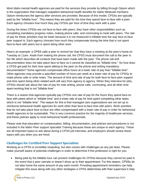Most Idaho mental health agencies are paid for the services they provide by billing through Optum which is the organization that manages outpatient behavioral health benefits for Idaho Medicaid members. Optum reimburses the agency after services are provided. Because of this model, CPSSs are typically paid by the "billable hour". This means they are paid for the time they spend face-to-face with a peer. Each agency chooses how much they pay CPSSs per hour of time they work with a peer.

During the times CPSSs are not face-to-face with peers, they have other responsibilities such as completing mandatory progress notes, making phone calls, and commuting to meet with peers. The rate of pay for these activities may be lower because it is not measured in billable time the way face-to-face peer support is. Each agency chooses how much they compensate during the time that is *not* spent face-to-face with peers but is spent doing other work.

Here's an example: a CPSS calls a peer to remind her that they have a meeting at the peer's home on Tuesday at 11am. Aside from making the phone call, the CPSS must document the call to the peer in her file which describes all contacts that have been made with the peer. The phone call and documentation does not take place face-to-face so it cannot be classified as "billable time." So how does a CPSS get paid for their time spent talking to the peer on the phone and writing mandatory documentation? Some agencies compensate office hours at a lower rate of pay than "billable time". Other agencies may provide a specified number of hours per week at a lower rate of pay for CPSSs to make phone calls or write notes. The amount of time and rate of pay for both face-to-face peer support and time spent doing other related work will vary from agency to agency. When they interview for jobs, CPSSs should ask about the rate of pay for note writing, phone calls, commuting, and all other time spent working that is not "billable time".

There is a reason that agencies typically pay CPSSs one rate of pay for the hours they spend face-toface with peers which is "billable time" and a lower rate of pay for time spent completing other tasks which is *not* "billable time". The reason for this is that managed care organizations are not set up to reimburse behavioral health agencies for work other than face-to-face time with peers. Work activities that do not take place face-to-face are often compensated with a lower rate of pay in order for behavioral health agencies to be sustainable. This is very common practice for the majority of healthcare services, and these policies apply to most behavioral health professionals.

Please note that education on compensation, billing, documentation, and policies and procedures is *not* included in the Idaho Peer support specialist Training because these are unique to each agency. These are all important topics to ask about during a CPSS job interview, and employers should review these topics with you when you are hired.

#### **Challenges for Certified Peer Support Specialists**

Working as a CPSS is incredibly rewarding, but also comes with challenges as any job does. Please make yourself aware of potential challenges in order to determine if this profession is right for you.

• Being paid by the billable hour can present challenges for CPSSs because they cannot be paid in the event that a peer cancels or doesn't show up to their appointment. For this reason, CPSSs do not take home the same amount of pay each month. Providing appointment reminders can help mitigate this issue along with any other strategies a CPSS determines with their supervisor's help.

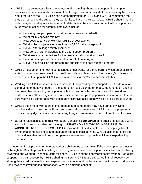- CPSSs may encounter a lack of employer understanding about peer support. Peer support services are very new in Idaho's mental health agencies and many staff members may be unclear about the role of the CPSS. This can create frustration for CPSSs and CPSSs sometimes feel they do not receive the support they would like to have in their workplace. CPSSs should inquire with the agencies they are interested in to determine if the work environment will be supportive. Suggested questions for potential employers include:
	- o How long has your peer support program been established?
	- o What will my specific role be?
	- o How does supervision work for CPSSs at your agency?
	- o What is the compensation structure for CPSSs at your agency?
	- o Do you offer mileage reimbursement?
	- o How do you refer individuals to the peer support program?
	- o What are your expectations for the peer specialists working here?
	- o How do peer specialists participate in All Staff meetings?
	- $\circ$  Do you have policies and procedures specific to the peer support program?
- CPSSs must determine how to set a schedule that works for them, learn new computer skills for entering notes into peers' electronic health records, and learn about their agency's policies and procedures. It is up to the CPSS to find what works for him/her to accomplish this.
- Working as a CPSS involves many tasks other than providing peer support. CPSSs do a lot of commuting to meet with peers in the community, use a computer to document notes on each of the peers they work with, make phone calls and send emails, communicate with coworkers, participate in staff meetings, attend supervision, and complete paperwork. It is important to make sure you will be comfortable with these administrative tasks as they will be a big part of your job.
- CPSSs often meet with peers in their homes, and some peers may have unhealthy living conditions due to their mental illness and personal circumstances. CPSSs must be prepared to practice non-judgement when encountering living environments that are different from their own.
- Building relationships and trust with peers, upholding **boundaries**, and practicing self-care while supporting peers can also be challenging. **DRAWING HEALTHY BOUNDARIES IS AN ABSOLUTE MUST FOR CPSSs.** CPSSs may work with individuals experiencing significant symptoms of mental illness and encounter peers in crisis at times. CPSSs also experience the grief and loss that sometimes accompanies close relationships with individuals experiencing mental illness.

It is important for applicants to understand these challenges to determine if the peer support profession is the right fit. Despite possible challenges, working as a certified peer support specialist is undoubtedly rewarding and wonderful benefits result for peers, CPSSs, and the behavioral health system. Peers are supported in their recovery by CPSSs sharing their story, CPSSs are supported in their recovery by sharing the incredibly valuable lived experience they have, and the behavioral health system furthers its trend toward recovery based approaches. What an amazing concept!

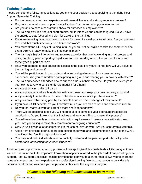#### **Training Readiness**

Please consider the following questions as you make your decision about applying to the Idaho Peer Support Specialist Training:

- Do you have personal lived experience with mental illness and a strong recovery process?
- Do you know what a peer support specialist does? Is this something you want to do?
- Are you able to pass a background check for purposes of employment?
- The training provides frequent short breaks, but is intensive and can be fatiguing. Do you have the energy to stay focused and alert for 100% of the training?
- If you are traveling, you must be out of town for the entire week plus travel time. Are you prepared to spend that much time away from home and work?
- You must attend all 5 days of training in full or you will not be eligible to take the comprehension exam. Are you ready to make this time commitment?
- The training is highly interactive and requires activities that involve working in small groups and pairs, practicing peer support, group discussion, and reading aloud. Are you comfortable with these types of participation?
- Have you attended formal education classes in the past five years? If not, how will you adjust to the training environment?
- You will be participating in group discussion and using elements of your own recovery experience. Are you comfortable participating in a group and sharing your recovery with others?
- The training teaches attendees how to support others in their recovery. Do you have strength in your own recovery to consistently role model it for others?
- Are you practicing daily self-care?
- Are you prepared to draw boundaries with your peers and keep your own recovery a priority?
- Are you ready to enter the workforce if it has been a while since you have worked?
- Are you comfortable being paid by the billable hour and the challenges it may present?
- If you have SSDI benefits, do you know how much you are able to work and earn each month?
- Do you feel ready to work as part of a team and independently?
- There will be additional steps you will need to take to complete your peer support specialist certification. Do you know what this involves and are you willing to pursue this process?
- You will need to complete continuing education requirements to renew your certification each year. Are you willing to make this commitment to ongoing education?
- CPSSs typically do a lot of commuting in the community for work. Are you comfortable with this?
- Aside from providing peer support, completing paperwork and documentation is part of the CPSS role. Does that feel like a good fit for you?
- You may work with individuals who do not fully understand the peer support role. Will you be comfortable advocating for yourself if needed?

Providing peer support is an amazing profession! We apologize if this guide feels a little heavy at times. We feel it is important to let applicants know about aspects involved in the job aside from providing peer support. Peer Support Specialist Training provides the pathway to a career that allows you to share the value of your personal lived experience in a professional setting. We encourage you to consider this decision carefully and welcome your application if this feels like a good fit for you!

#### *Please take the following self-assessment to learn more.*

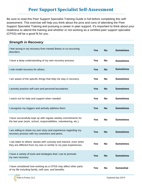### **Peer Support Specialist Self-Assessment**

Be sure to read this Peer Support Specialist Training Guide in full before completing this selfassessment. This exercise will help you think about the pros and cons of attending the Peer Support Specialist Training and pursuing a career in peer support. It's important to think about your readiness to attend the training and whether or not working as a certified peer support specialist (CPSS) will be a good fit for you.

| <b>Strength in Recovery</b>                                                                                                                 |            |           |                  |
|---------------------------------------------------------------------------------------------------------------------------------------------|------------|-----------|------------------|
| I feel strong in my recovery from mental illness or co-occurring<br>disorders.                                                              | <b>Yes</b> | <b>No</b> | <b>Sometimes</b> |
| I have a deep understanding of my own recovery process.                                                                                     | <b>Yes</b> | <b>No</b> | <b>Sometimes</b> |
| I role model recovery for others.                                                                                                           | <b>Yes</b> | <b>No</b> | <b>Sometimes</b> |
| I am aware of the specific things that help me stay in recovery.                                                                            | <b>Yes</b> | <b>No</b> | <b>Sometimes</b> |
| I actively practice self-care and personal boundaries.                                                                                      | <b>Yes</b> | <b>No</b> | <b>Sometimes</b> |
| I reach out for help and support when needed.                                                                                               | <b>Yes</b> | <b>No</b> | <b>Sometimes</b> |
| I recognize my triggers and actively address them.                                                                                          | <b>Yes</b> | <b>No</b> | <b>Sometimes</b> |
| I have successfully kept up with regular weekly commitments for<br>the last year (work, school, responsibilities, volunteering, etc.).      | <b>Yes</b> | <b>No</b> | <b>Sometimes</b> |
| I am willing to share my own story and experience regarding my<br>recovery process with my coworkers and peers.                             | <b>Yes</b> | <b>No</b> | <b>Sometimes</b> |
| I can listen to others' stories with curiosity and interest, even when<br>they are different from my own or similar to my past experiences. | Yes        | No        | Sometimes        |
| I have a variety of tools and strategies that I use to promote<br>my own recovery.                                                          | <b>Yes</b> | <b>No</b> | <b>Sometimes</b> |
| I have considered how working as a CPSS may affect other parts<br>of my life including family, self-care, and benefits.                     | <b>Yes</b> | <b>No</b> | <b>Somewhat</b>  |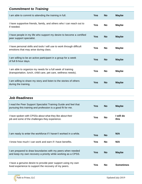| <b>Commitment to Training</b>                                                                                                |            |           |              |
|------------------------------------------------------------------------------------------------------------------------------|------------|-----------|--------------|
| I am able to commit to attending the training in full.                                                                       | <b>Yes</b> | <b>No</b> | <b>Maybe</b> |
| I have supportive friends, family, and others who I can reach out to<br>if needed.                                           | Yes        | <b>No</b> | <b>Maybe</b> |
| I have people in my life who support my desire to become a certified<br>peer support specialist.                             | <b>Yes</b> | <b>No</b> | <b>Maybe</b> |
| I have personal skills and tools I will use to work through difficult<br>emotions that may arise during class.               | <b>Yes</b> | <b>No</b> | <b>Maybe</b> |
| I am willing to be an active participant in a group for a week<br>of full 8-hour days.                                       | <b>Yes</b> | <b>No</b> | <b>Maybe</b> |
| I am able to organize my needs for a full week of training<br>(transportation, lunch, child care, pet care, wellness needs). | <b>Yes</b> | <b>No</b> | <b>Maybe</b> |
| I am willing to share my story and listen to the stories of others<br>during the training.                                   | Yes        | <b>No</b> | <b>Maybe</b> |

| <b>Job Readiness</b>                                                                                                           |            |           |                  |
|--------------------------------------------------------------------------------------------------------------------------------|------------|-----------|------------------|
| I read the Peer Support Specialist Training Guide and feel that<br>pursuing this training and profession is a good fit for me. | <b>Yes</b> | <b>No</b> | <b>Maybe</b>     |
| I have spoken with CPSSs about what they like about their<br>job and some of the challenges they experience.                   | Yes        | <b>No</b> | will do<br>this  |
|                                                                                                                                |            |           |                  |
| I am ready to enter the workforce if I haven't worked in a while.                                                              | <b>Yes</b> | <b>No</b> | N/A              |
| I know how much I can work and earn if I have benefits.                                                                        | <b>Yes</b> | <b>No</b> | N/A              |
| I am prepared to draw boundaries with my peers when needed<br>and keep my own recovery a priority while working as a CPSS.     | <b>Yes</b> | <b>No</b> | <b>Maybe</b>     |
| I have a genuine desire to provide peer support using my own<br>lived experience to support the recovery of my peers.          | <b>Yes</b> | <b>No</b> | <b>Sometimes</b> |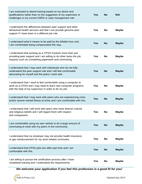| I am motivated to attend training based on my desire and<br>qualifications rather than on the suggestion of my supervisor or<br>challenges in my current CBRS or case management role.    | <b>Yes</b> | <b>No</b> | N/A          |
|-------------------------------------------------------------------------------------------------------------------------------------------------------------------------------------------|------------|-----------|--------------|
| I understand the differences between peer support and other<br>behavioral health services and feel I can provide genuine peer<br>support if I have been in a different job role.          | <b>Yes</b> | No        | <b>Maybe</b> |
| I understand what it means to be paid by the billable hour and<br>I am comfortable being compensated this way.                                                                            | <b>Yes</b> | <b>No</b> | <b>Maybe</b> |
| I understand that working as a CPSS involves more than just<br>providing peer support and I am willing to do other tasks the job<br>requires such as completing paperwork and commuting.  | <b>Yes</b> | <b>No</b> | <b>Maybe</b> |
| I understand that I may work with individuals who do not fully<br>understand the peer support role and I will feel comfortable<br>advocating for myself and the peers I work with.        | <b>Yes</b> | <b>No</b> | <b>Maybe</b> |
| I understand that I need to feel comfortable using a computer to<br>work as a CPSS and I may need to learn new computer programs<br>with the help of my supervisor in order to do my job. | Yes        | No        | <b>Maybe</b> |
| I understand that I may work with peers who are experiencing crisis<br>and/or severe mental illness at times and I am comfortable with this.                                              | <b>Yes</b> | <b>No</b> | <b>Maybe</b> |
| I understand that I will work with peers who have diverse cultural<br>and religious beliefs and I will regard them with respect<br>and compassion.                                        | Yes        | No        | <b>Maybe</b> |
| I am comfortable using my own vehicle to do a large amount of<br>commuting to meet with my peers in the community.                                                                        | <b>Yes</b> | <b>No</b> | <b>Maybe</b> |
| I understand that my employer may not provide health insurance<br>or gas reimbursement for my work-related commutes.                                                                      | <b>Yes</b> | <b>No</b> | <b>Maybe</b> |
| I understand that CPSS jobs are often part time and I am<br>comfortable with this.                                                                                                        | <b>Yes</b> | <b>No</b> | <b>Maybe</b> |
| I am willing to pursue the certification process after I have<br>completed training and I understand the requirements.                                                                    | <b>Yes</b> | <b>No</b> | <b>Maybe</b> |

*We welcome your application if you feel this profession is a good fit for you!*

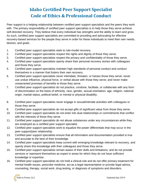## **Idaho Certified Peer Support Specialist Code of Ethics & Professional Conduct**

Peer support is a helping relationship between certified peer support specialists and the peers they work with. The primary responsibility of certified peer support specialists is to help those they serve achieve self-directed recovery. They believe that every individual has strengths and the ability to learn and grow. As such, certified peer support specialists are committed to providing and advocating for effective recovery-based services for the people they serve in order for these individuals to meet their own needs, desires, and goals.

- 1. Certified peer support specialists seek to role-model recovery.
- 2. Certified peer support specialists respect the rights and dignity of those they serve.
- 3. Certified peer support specialists respect the privacy and confidentiality of those they serve.
- 4. Certified peer support specialists openly share their personal recovery stories with colleagues and those they serve.
- 5. Certified peer support specialists maintain high standards of personal conduct and conduct themselves in a manner that fosters their own recovery.
- 6. Certified peer support specialists never intimidate, threaten, or harass those they serve; never use undue influence, physical force, or verbal abuse with those they serve; and never make unwarranted promises of benefits to those they serve.
- 7. Certified peer support specialists do not practice, condone, facilitate, or collaborate with any form of discrimination on the basis of ethnicity, race, gender, sexual orientation, age, religion, national origin, marital status, political belief, or mental or physical disability.
- 8. Certified peer support specialists never engage in sexual/intimate activities with colleagues or those they serve.
- 9. Certified peer support specialists do not accept gifts of significant value from those they serve.
- 10. Certified peer support specialists do not enter into dual relationships or commitments that conflict with the interests of those they serve.
- 11. Certified peer support specialists do not abuse substances under any circumstances while they are employed as a certified peer support specialist.
- 12. Certified peer support specialists work to equalize the power differentials that may occur in the peer support/peer relationship.
- 13. Certified peer support specialists ensure that all information and documentation provided is true and accurate to the best of their knowledge.
- 14. Certified peer support specialists keep current with emerging knowledge relevant to recovery, and openly share this knowledge with their colleagues and those they serve.
- 15. Certified peer support specialists remain aware of their skills and limitations, and do not provide services or represent themselves as expert in areas for which they do not have sufficient knowledge or expertise.
- 16. Certified peer support specialists do not hold a clinical role and do not offer primary treatment for mental health issues, prescribe medicine, act as a legal representative or provide legal advice, counseling, therapy, social work, drug testing, or diagnosis of symptoms and disorders.